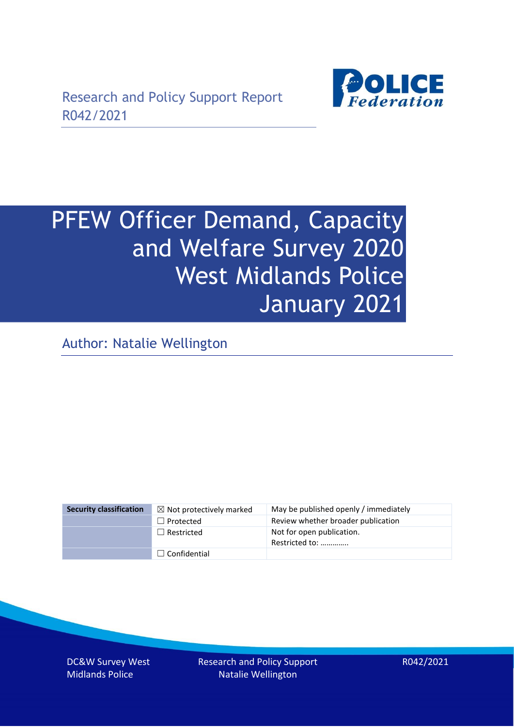

# PFEW Officer Demand, Capacity and Welfare Survey 2020 West Midlands Police January 2021

Author: Natalie Wellington

| <b>Security classification</b> | $\boxtimes$ Not protectively marked | May be published openly / immediately       |
|--------------------------------|-------------------------------------|---------------------------------------------|
|                                | $\Box$ Protected                    | Review whether broader publication          |
|                                | $\Box$ Restricted                   | Not for open publication.<br>Restricted to: |
|                                | $\Box$ Confidential                 |                                             |

DC&W Survey West Midlands Police

Research and Policy Support Natalie Wellington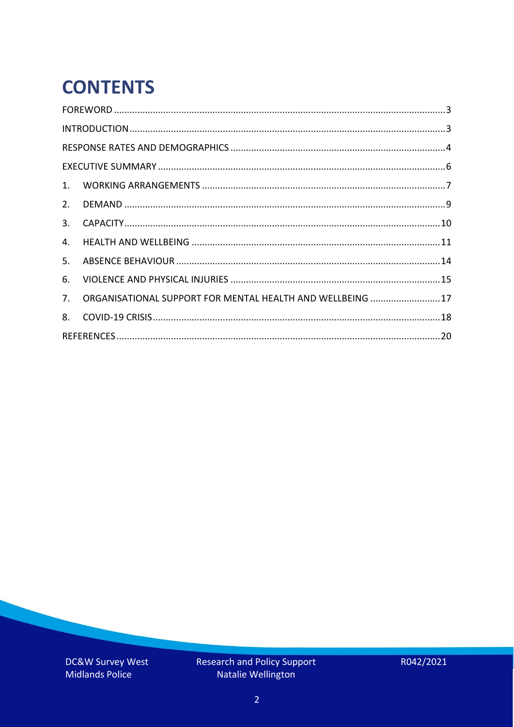# **CONTENTS**

| 2.          |                                                            |  |
|-------------|------------------------------------------------------------|--|
| 3.          |                                                            |  |
| 4.          |                                                            |  |
| 5.          |                                                            |  |
| 6.          |                                                            |  |
| $7_{\cdot}$ | ORGANISATIONAL SUPPORT FOR MENTAL HEALTH AND WELLBEING  17 |  |
| 8.          |                                                            |  |
|             |                                                            |  |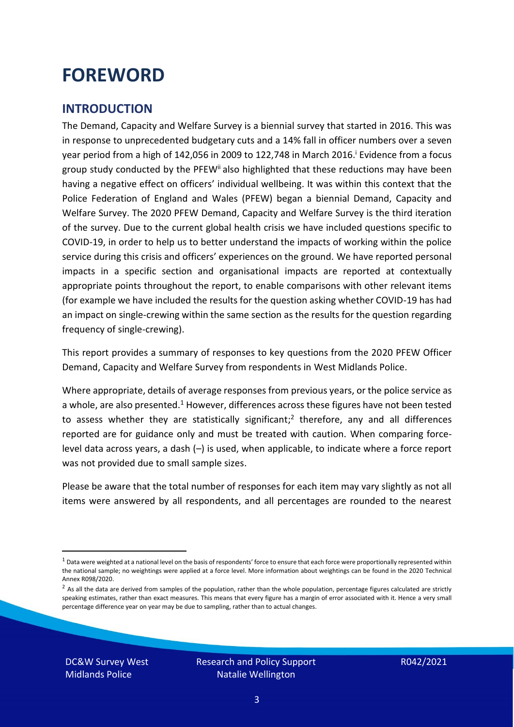### <span id="page-2-0"></span>**FOREWORD**

#### <span id="page-2-1"></span>**INTRODUCTION**

The Demand, Capacity and Welfare Survey is a biennial survey that started in 2016. This was in response to unprecedented budgetary cuts and a 14% fall in officer numbers over a seven year period from a high of 142,056 in 2009 to 122,748 in March 2016. <sup>i</sup> Evidence from a focus group study conducted by the PFEW<sup>ii</sup> also highlighted that these reductions may have been having a negative effect on officers' individual wellbeing. It was within this context that the Police Federation of England and Wales (PFEW) began a biennial Demand, Capacity and Welfare Survey. The 2020 PFEW Demand, Capacity and Welfare Survey is the third iteration of the survey. Due to the current global health crisis we have included questions specific to COVID-19, in order to help us to better understand the impacts of working within the police service during this crisis and officers' experiences on the ground. We have reported personal impacts in a specific section and organisational impacts are reported at contextually appropriate points throughout the report, to enable comparisons with other relevant items (for example we have included the results for the question asking whether COVID-19 has had an impact on single-crewing within the same section as the results for the question regarding frequency of single-crewing).

This report provides a summary of responses to key questions from the 2020 PFEW Officer Demand, Capacity and Welfare Survey from respondents in West Midlands Police.

Where appropriate, details of average responses from previous years, or the police service as a whole, are also presented.<sup>1</sup> However, differences across these figures have not been tested to assess whether they are statistically significant;<sup>2</sup> therefore, any and all differences reported are for guidance only and must be treated with caution. When comparing forcelevel data across years, a dash (–) is used, when applicable, to indicate where a force report was not provided due to small sample sizes.

Please be aware that the total number of responses for each item may vary slightly as not all items were answered by all respondents, and all percentages are rounded to the nearest

DC&W Survey West Midlands Police

 $1$  Data were weighted at a national level on the basis of respondents' force to ensure that each force were proportionally represented within the national sample; no weightings were applied at a force level. More information about weightings can be found in the 2020 Technical Annex R098/2020.

 $2$  As all the data are derived from samples of the population, rather than the whole population, percentage figures calculated are strictly speaking estimates, rather than exact measures. This means that every figure has a margin of error associated with it. Hence a very small percentage difference year on year may be due to sampling, rather than to actual changes.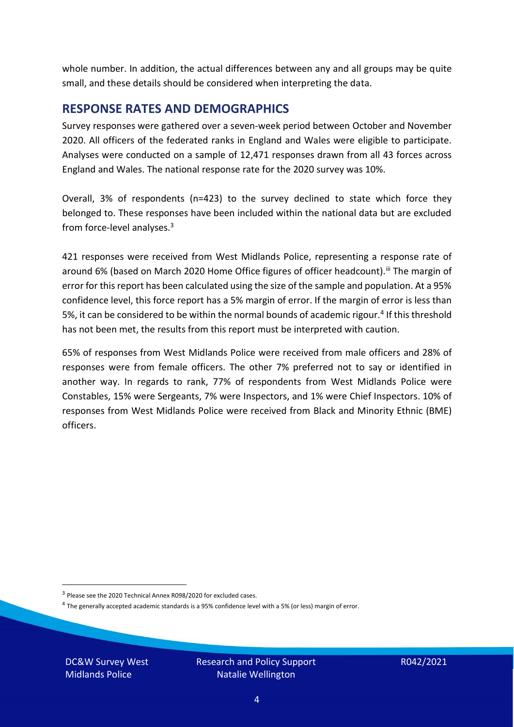whole number. In addition, the actual differences between any and all groups may be quite small, and these details should be considered when interpreting the data.

#### <span id="page-3-0"></span>**RESPONSE RATES AND DEMOGRAPHICS**

Survey responses were gathered over a seven-week period between October and November 2020. All officers of the federated ranks in England and Wales were eligible to participate. Analyses were conducted on a sample of 12,471 responses drawn from all 43 forces across England and Wales. The national response rate for the 2020 survey was 10%.

Overall, 3% of respondents (n=423) to the survey declined to state which force they belonged to. These responses have been included within the national data but are excluded from force-level analyses. $3$ 

421 responses were received from West Midlands Police, representing a response rate of around 6% (based on March 2020 Home Office figures of officer headcount). III The margin of error for this report has been calculated using the size of the sample and population. At a 95% confidence level, this force report has a 5% margin of error. If the margin of error is less than 5%, it can be considered to be within the normal bounds of academic rigour.<sup>4</sup> If this threshold has not been met, the results from this report must be interpreted with caution.

65% of responses from West Midlands Police were received from male officers and 28% of responses were from female officers. The other 7% preferred not to say or identified in another way. In regards to rank, 77% of respondents from West Midlands Police were Constables, 15% were Sergeants, 7% were Inspectors, and 1% were Chief Inspectors. 10% of responses from West Midlands Police were received from Black and Minority Ethnic (BME) officers.

DC&W Survey West Midlands Police

<sup>&</sup>lt;sup>3</sup> Please see the 2020 Technical Annex R098/2020 for excluded cases.

<sup>&</sup>lt;sup>4</sup> The generally accepted academic standards is a 95% confidence level with a 5% (or less) margin of error.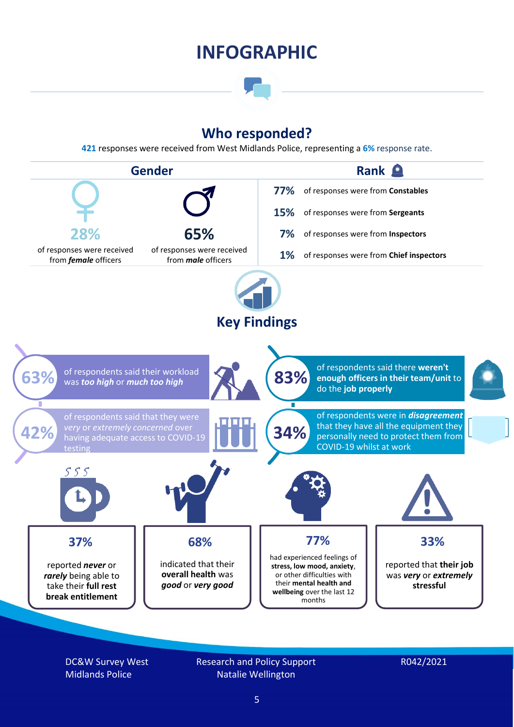### **INFOGRAPHIC**

### **Who responded?**

**421** responses were received from West Midlands Police, representing a **6%** response rate.



DC&W Survey West Midlands Police

Research and Policy Support Natalie Wellington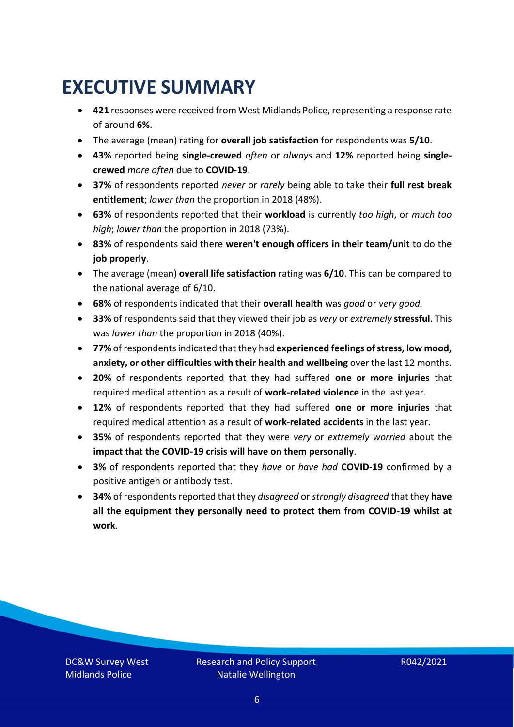### <span id="page-5-0"></span>**EXECUTIVE SUMMARY**

- **421** responses were received from West Midlands Police, representing a response rate of around **6%**.
- The average (mean) rating for **overall job satisfaction** for respondents was **5/10**.
- **43%** reported being **single-crewed** *often* or *always* and **12%** reported being **singlecrewed** *more often* due to **COVID-19**.
- **37%** of respondents reported *never* or *rarely* being able to take their **full rest break entitlement**; *lower than* the proportion in 2018 (48%).
- **63%** of respondents reported that their **workload** is currently *too high*, or *much too high*; *lower than* the proportion in 2018 (73%).
- **83%** of respondents said there **weren't enough officers in their team/unit** to do the **job properly**.
- The average (mean) **overall life satisfaction** rating was **6/10**. This can be compared to the national average of 6/10.
- **68%** of respondents indicated that their **overall health** was *good* or *very good.*
- **33%** of respondents said that they viewed their job as *very* or *extremely* **stressful**. This was *lower than* the proportion in 2018 (40%).
- **77%** of respondents indicated that they had **experienced feelings of stress, low mood, anxiety, or other difficulties with their health and wellbeing** over the last 12 months.
- **20%** of respondents reported that they had suffered **one or more injuries** that required medical attention as a result of **work-related violence** in the last year.
- **12%** of respondents reported that they had suffered **one or more injuries** that required medical attention as a result of **work-related accidents** in the last year.
- **35%** of respondents reported that they were *very* or *extremely worried* about the **impact that the COVID-19 crisis will have on them personally**.
- **3%** of respondents reported that they *have* or *have had* **COVID-19** confirmed by a positive antigen or antibody test.
- **34%** of respondents reported that they *disagreed* or *strongly disagreed* that they **have all the equipment they personally need to protect them from COVID-19 whilst at work**.

DC&W Survey West Midlands Police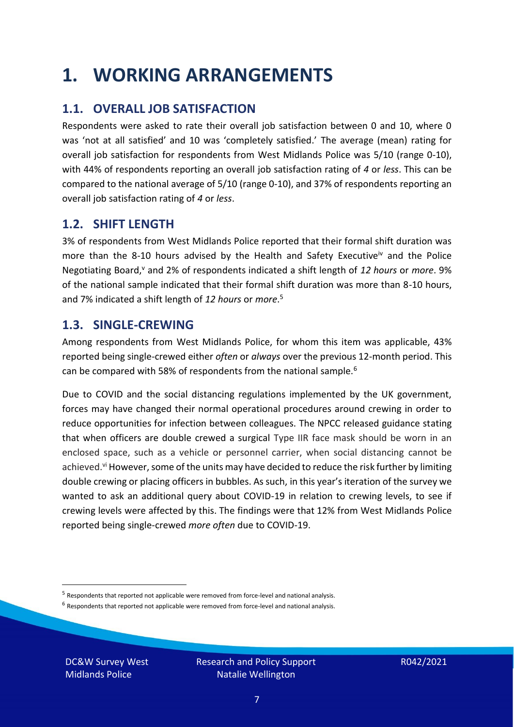### <span id="page-6-0"></span>**1. WORKING ARRANGEMENTS**

### **1.1. OVERALL JOB SATISFACTION**

Respondents were asked to rate their overall job satisfaction between 0 and 10, where 0 was 'not at all satisfied' and 10 was 'completely satisfied.' The average (mean) rating for overall job satisfaction for respondents from West Midlands Police was 5/10 (range 0-10), with 44% of respondents reporting an overall job satisfaction rating of *4* or *less*. This can be compared to the national average of 5/10 (range 0-10), and 37% of respondents reporting an overall job satisfaction rating of *4* or *less*.

### **1.2. SHIFT LENGTH**

3% of respondents from West Midlands Police reported that their formal shift duration was more than the 8-10 hours advised by the Health and Safety Executive<sup>iv</sup> and the Police Negotiating Board,<sup>v</sup> and 2% of respondents indicated a shift length of 12 hours or *more*. 9% of the national sample indicated that their formal shift duration was more than 8-10 hours, and 7% indicated a shift length of *12 hours* or *more*. 5

#### **1.3. SINGLE-CREWING**

Among respondents from West Midlands Police, for whom this item was applicable, 43% reported being single-crewed either *often* or *always* over the previous 12-month period. This can be compared with 58% of respondents from the national sample.<sup>6</sup>

Due to COVID and the social distancing regulations implemented by the UK government, forces may have changed their normal operational procedures around crewing in order to reduce opportunities for infection between colleagues. The NPCC released guidance stating that when officers are double crewed a surgical Type IIR face mask should be worn in an enclosed space, such as a vehicle or personnel carrier, when social distancing cannot be achieved.<sup>vi</sup> However, some of the units may have decided to reduce the risk further by limiting double crewing or placing officers in bubbles. As such, in this year's iteration of the survey we wanted to ask an additional query about COVID-19 in relation to crewing levels, to see if crewing levels were affected by this. The findings were that 12% from West Midlands Police reported being single-crewed *more often* due to COVID-19.

 $<sup>6</sup>$  Respondents that reported not applicable were removed from force-level and national analysis.</sup>

DC&W Survey West Midlands Police

<sup>&</sup>lt;sup>5</sup> Respondents that reported not applicable were removed from force-level and national analysis.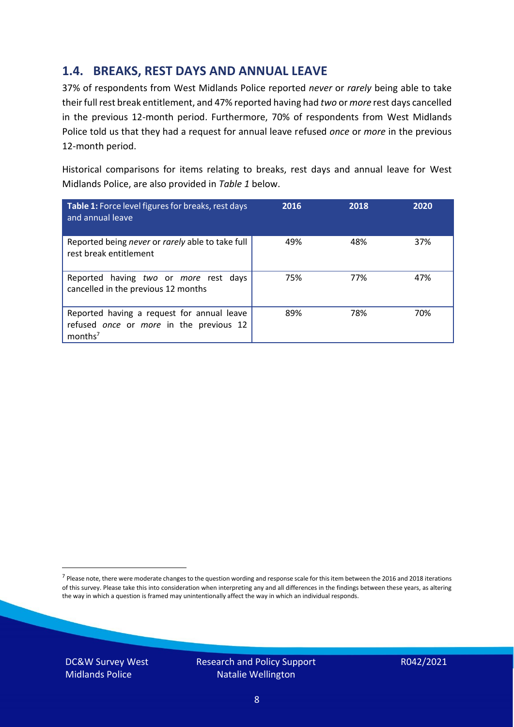### **1.4. BREAKS, REST DAYS AND ANNUAL LEAVE**

37% of respondents from West Midlands Police reported *never* or *rarely* being able to take their full rest break entitlement, and 47% reported having had *two* or *more* rest days cancelled in the previous 12-month period. Furthermore, 70% of respondents from West Midlands Police told us that they had a request for annual leave refused *once* or *more* in the previous 12-month period.

Historical comparisons for items relating to breaks, rest days and annual leave for West Midlands Police, are also provided in *Table 1* below.

| Table 1: Force level figures for breaks, rest days<br>and annual leave                                       | 2016 | 2018 | 2020 |
|--------------------------------------------------------------------------------------------------------------|------|------|------|
| Reported being never or rarely able to take full<br>rest break entitlement                                   | 49%  | 48%  | 37%  |
| Reported having two or more rest days<br>cancelled in the previous 12 months                                 | 75%  | 77%  | 47%  |
| Reported having a request for annual leave<br>refused once or more in the previous 12<br>months <sup>7</sup> | 89%  | 78%  | 70%  |

DC&W Survey West Midlands Police



<sup>&</sup>lt;sup>7</sup> Please note, there were moderate changes to the question wording and response scale for this item between the 2016 and 2018 iterations of this survey. Please take this into consideration when interpreting any and all differences in the findings between these years, as altering the way in which a question is framed may unintentionally affect the way in which an individual responds.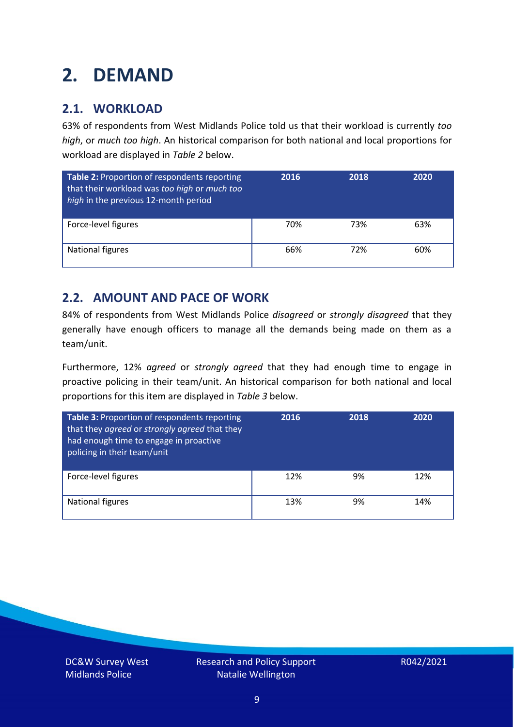### <span id="page-8-0"></span>**2. DEMAND**

### **2.1. WORKLOAD**

63% of respondents from West Midlands Police told us that their workload is currently *too high*, or *much too high*. An historical comparison for both national and local proportions for workload are displayed in *Table 2* below.

| Table 2: Proportion of respondents reporting<br>that their workload was too high or much too<br>high in the previous 12-month period | 2016 | 2018 | 2020 |
|--------------------------------------------------------------------------------------------------------------------------------------|------|------|------|
| Force-level figures                                                                                                                  | 70%  | 73%  | 63%  |
| National figures                                                                                                                     | 66%  | 72%  | 60%  |

### **2.2. AMOUNT AND PACE OF WORK**

84% of respondents from West Midlands Police *disagreed* or *strongly disagreed* that they generally have enough officers to manage all the demands being made on them as a team/unit.

Furthermore, 12% *agreed* or *strongly agreed* that they had enough time to engage in proactive policing in their team/unit. An historical comparison for both national and local proportions for this item are displayed in *Table 3* below.

| Table 3: Proportion of respondents reporting<br>that they agreed or strongly agreed that they<br>had enough time to engage in proactive<br>policing in their team/unit | 2016 | 2018 | 2020 |
|------------------------------------------------------------------------------------------------------------------------------------------------------------------------|------|------|------|
| Force-level figures                                                                                                                                                    | 12%  | 9%   | 12%  |
| National figures                                                                                                                                                       | 13%  | 9%   | 14%  |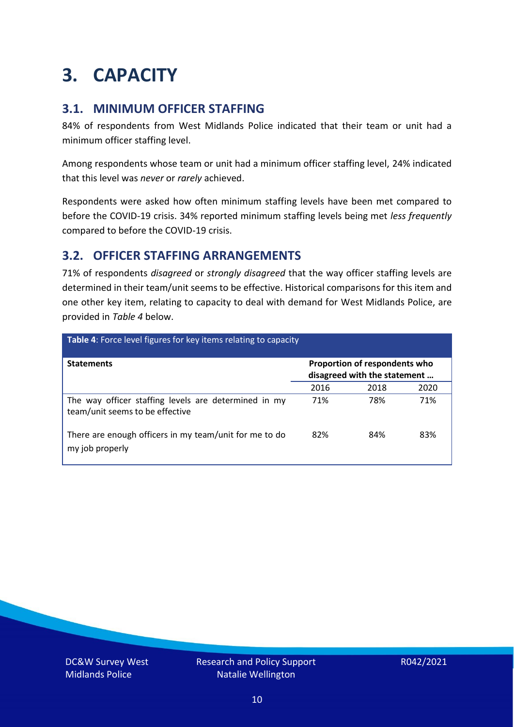### <span id="page-9-0"></span>**3. CAPACITY**

### **3.1. MINIMUM OFFICER STAFFING**

84% of respondents from West Midlands Police indicated that their team or unit had a minimum officer staffing level.

Among respondents whose team or unit had a minimum officer staffing level, 24% indicated that this level was *never* or *rarely* achieved.

Respondents were asked how often minimum staffing levels have been met compared to before the COVID-19 crisis. 34% reported minimum staffing levels being met *less frequently* compared to before the COVID-19 crisis.

### **3.2. OFFICER STAFFING ARRANGEMENTS**

71% of respondents *disagreed* or *strongly disagreed* that the way officer staffing levels are determined in their team/unit seems to be effective. Historical comparisons for this item and one other key item, relating to capacity to deal with demand for West Midlands Police, are provided in *Table 4* below.

| Table 4: Force level figures for key items relating to capacity                         |                                                               |      |      |
|-----------------------------------------------------------------------------------------|---------------------------------------------------------------|------|------|
| <b>Statements</b>                                                                       | Proportion of respondents who<br>disagreed with the statement |      |      |
|                                                                                         | 2016                                                          | 2018 | 2020 |
| The way officer staffing levels are determined in my<br>team/unit seems to be effective | 71%                                                           | 78%  | 71%  |
| There are enough officers in my team/unit for me to do<br>my job properly               | 82%                                                           | 84%  | 83%  |

DC&W Survey West Midlands Police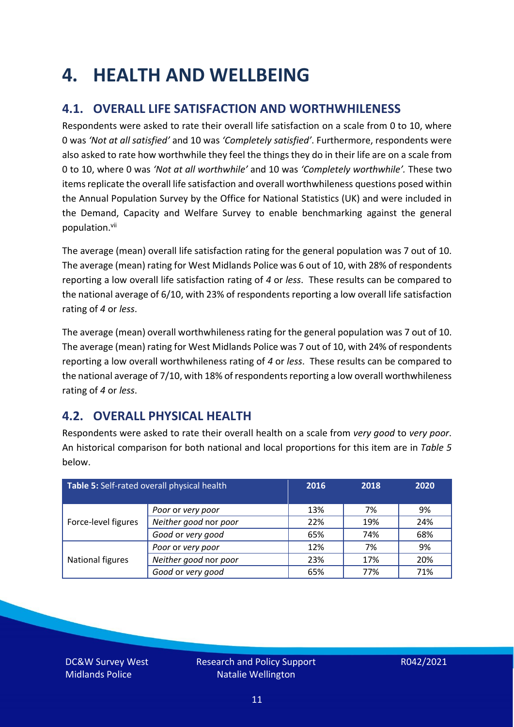### <span id="page-10-0"></span>**4. HEALTH AND WELLBEING**

### **4.1. OVERALL LIFE SATISFACTION AND WORTHWHILENESS**

Respondents were asked to rate their overall life satisfaction on a scale from 0 to 10, where 0 was *'Not at all satisfied'* and 10 was *'Completely satisfied'*. Furthermore, respondents were also asked to rate how worthwhile they feel the things they do in their life are on a scale from 0 to 10, where 0 was *'Not at all worthwhile'* and 10 was *'Completely worthwhile'.* These two items replicate the overall life satisfaction and overall worthwhileness questions posed within the Annual Population Survey by the Office for National Statistics (UK) and were included in the Demand, Capacity and Welfare Survey to enable benchmarking against the general population. vii

The average (mean) overall life satisfaction rating for the general population was 7 out of 10. The average (mean) rating for West Midlands Police was 6 out of 10, with 28% of respondents reporting a low overall life satisfaction rating of *4* or *less*. These results can be compared to the national average of 6/10, with 23% of respondents reporting a low overall life satisfaction rating of *4* or *less*.

The average (mean) overall worthwhileness rating for the general population was 7 out of 10. The average (mean) rating for West Midlands Police was 7 out of 10, with 24% of respondents reporting a low overall worthwhileness rating of *4* or *less*. These results can be compared to the national average of 7/10, with 18% of respondents reporting a low overall worthwhileness rating of *4* or *less*.

### **4.2. OVERALL PHYSICAL HEALTH**

Respondents were asked to rate their overall health on a scale from *very good* to *very poor*. An historical comparison for both national and local proportions for this item are in *Table 5* below.

| Table 5: Self-rated overall physical health |                       | 2016 | 2018 | 2020 |
|---------------------------------------------|-----------------------|------|------|------|
|                                             | Poor or very poor     | 13%  | 7%   | 9%   |
| Force-level figures                         | Neither good nor poor | 22%  | 19%  | 24%  |
|                                             | Good or very good     | 65%  | 74%  | 68%  |
|                                             | Poor or very poor     | 12%  | 7%   | 9%   |
| National figures                            | Neither good nor poor | 23%  | 17%  | 20%  |
|                                             | Good or very good     | 65%  | 77%  | 71%  |

DC&W Survey West Midlands Police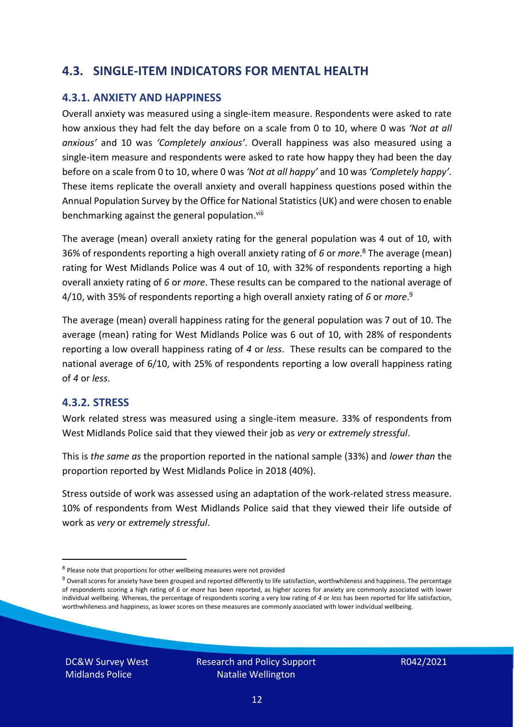### **4.3. SINGLE-ITEM INDICATORS FOR MENTAL HEALTH**

#### **4.3.1. ANXIETY AND HAPPINESS**

Overall anxiety was measured using a single-item measure. Respondents were asked to rate how anxious they had felt the day before on a scale from 0 to 10, where 0 was *'Not at all anxious'* and 10 was *'Completely anxious'*. Overall happiness was also measured using a single-item measure and respondents were asked to rate how happy they had been the day before on a scale from 0 to 10, where 0 was *'Not at all happy'* and 10 was *'Completely happy'*. These items replicate the overall anxiety and overall happiness questions posed within the Annual Population Survey by the Office for National Statistics (UK) and were chosen to enable benchmarking against the general population.<sup>viii</sup>

The average (mean) overall anxiety rating for the general population was 4 out of 10, with 36% of respondents reporting a high overall anxiety rating of *6* or *more*. <sup>8</sup> The average (mean) rating for West Midlands Police was 4 out of 10, with 32% of respondents reporting a high overall anxiety rating of *6* or *more*. These results can be compared to the national average of 4/10, with 35% of respondents reporting a high overall anxiety rating of *6* or *more*. 9

The average (mean) overall happiness rating for the general population was 7 out of 10. The average (mean) rating for West Midlands Police was 6 out of 10, with 28% of respondents reporting a low overall happiness rating of *4* or *less*. These results can be compared to the national average of 6/10, with 25% of respondents reporting a low overall happiness rating of *4* or *less*.

#### **4.3.2. STRESS**

Work related stress was measured using a single-item measure. 33% of respondents from West Midlands Police said that they viewed their job as *very* or *extremely stressful*.

This is *the same as* the proportion reported in the national sample (33%) and *lower than* the proportion reported by West Midlands Police in 2018 (40%).

Stress outside of work was assessed using an adaptation of the work-related stress measure. 10% of respondents from West Midlands Police said that they viewed their life outside of work as *very* or *extremely stressful*.

DC&W Survey West Midlands Police

<sup>&</sup>lt;sup>8</sup> Please note that proportions for other wellbeing measures were not provided

 $9$  Overall scores for anxiety have been grouped and reported differently to life satisfaction, worthwhileness and happiness. The percentage of respondents scoring a high rating of *6* or *more* has been reported, as higher scores for anxiety are commonly associated with lower individual wellbeing. Whereas, the percentage of respondents scoring a very low rating of *4* or *less* has been reported for life satisfaction, worthwhileness and happiness, as lower scores on these measures are commonly associated with lower individual wellbeing.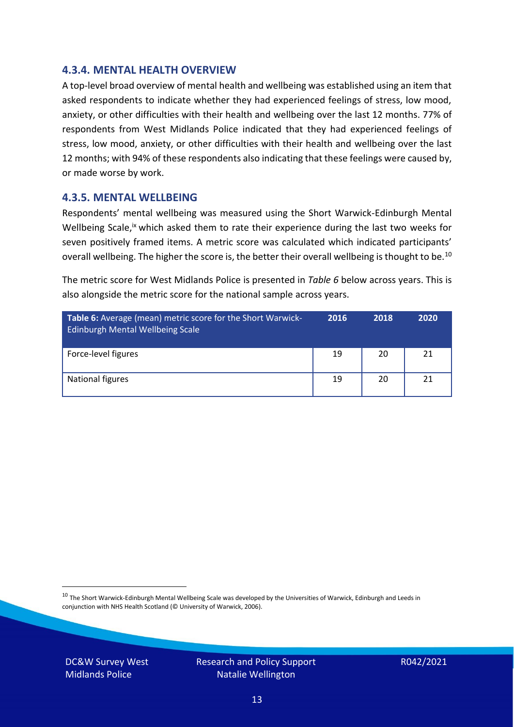#### **4.3.4. MENTAL HEALTH OVERVIEW**

A top-level broad overview of mental health and wellbeing was established using an item that asked respondents to indicate whether they had experienced feelings of stress, low mood, anxiety, or other difficulties with their health and wellbeing over the last 12 months. 77% of respondents from West Midlands Police indicated that they had experienced feelings of stress, low mood, anxiety, or other difficulties with their health and wellbeing over the last 12 months; with 94% of these respondents also indicating that these feelings were caused by, or made worse by work.

#### **4.3.5. MENTAL WELLBEING**

Respondents' mental wellbeing was measured using the Short Warwick-Edinburgh Mental Wellbeing Scale,<sup>ix</sup> which asked them to rate their experience during the last two weeks for seven positively framed items. A metric score was calculated which indicated participants' overall wellbeing. The higher the score is, the better their overall wellbeing is thought to be.<sup>10</sup>

The metric score for West Midlands Police is presented in *Table 6* below across years. This is also alongside the metric score for the national sample across years.

| <b>Table 6:</b> Average (mean) metric score for the Short Warwick-<br>Edinburgh Mental Wellbeing Scale | 2016 | 2018 | 2020 |
|--------------------------------------------------------------------------------------------------------|------|------|------|
| Force-level figures                                                                                    | 19   | 20   | 21   |
| National figures                                                                                       | 19   | 20   | 21   |

 $10$  The Short Warwick-Edinburgh Mental Wellbeing Scale was developed by the Universities of Warwick, Edinburgh and Leeds in conjunction with NHS Health Scotland (© University of Warwick, 2006).

DC&W Survey West Midlands Police

Research and Policy Support Natalie Wellington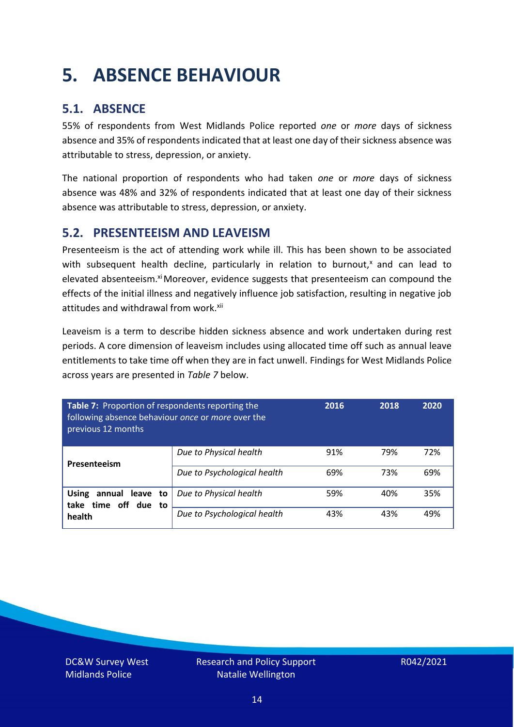### <span id="page-13-0"></span>**5. ABSENCE BEHAVIOUR**

### **5.1. ABSENCE**

55% of respondents from West Midlands Police reported *one* or *more* days of sickness absence and 35% of respondents indicated that at least one day of their sickness absence was attributable to stress, depression, or anxiety.

The national proportion of respondents who had taken *one* or *more* days of sickness absence was 48% and 32% of respondents indicated that at least one day of their sickness absence was attributable to stress, depression, or anxiety.

### **5.2. PRESENTEEISM AND LEAVEISM**

Presenteeism is the act of attending work while ill. This has been shown to be associated with subsequent health decline, particularly in relation to burnout, $x$  and can lead to elevated absenteeism.<sup>xi</sup> Moreover, evidence suggests that presenteeism can compound the effects of the initial illness and negatively influence job satisfaction, resulting in negative job attitudes and withdrawal from work.<sup>xii</sup>

Leaveism is a term to describe hidden sickness absence and work undertaken during rest periods. A core dimension of leaveism includes using allocated time off such as annual leave entitlements to take time off when they are in fact unwell. Findings for West Midlands Police across years are presented in *Table 7* below.

| Table 7: Proportion of respondents reporting the<br>following absence behaviour once or more over the<br>previous 12 months |                             | 2016 | 2018 | 2020 |
|-----------------------------------------------------------------------------------------------------------------------------|-----------------------------|------|------|------|
| Presenteeism                                                                                                                | Due to Physical health      | 91%  | 79%  | 72%  |
|                                                                                                                             | Due to Psychological health | 69%  | 73%  | 69%  |
| annual leave to<br><b>Using</b><br>time off due to<br>take                                                                  | Due to Physical health      | 59%  | 40%  | 35%  |
| health                                                                                                                      | Due to Psychological health | 43%  | 43%  | 49%  |

DC&W Survey West Midlands Police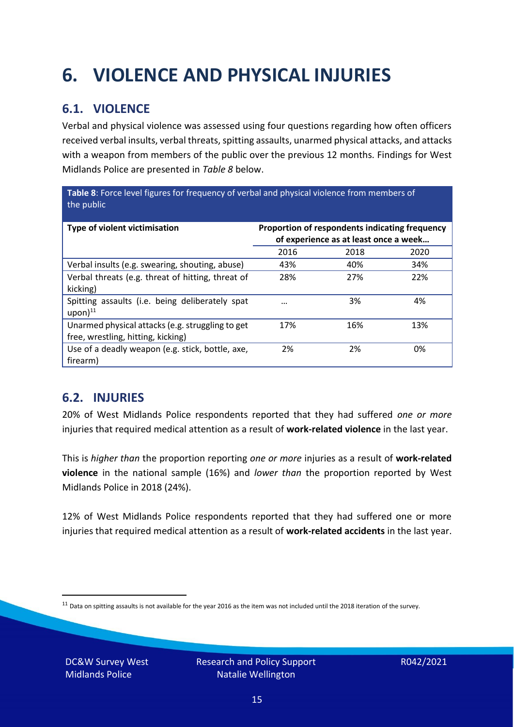## <span id="page-14-0"></span>**6. VIOLENCE AND PHYSICAL INJURIES**

### **6.1. VIOLENCE**

Verbal and physical violence was assessed using four questions regarding how often officers received verbal insults, verbal threats, spitting assaults, unarmed physical attacks, and attacks with a weapon from members of the public over the previous 12 months. Findings for West Midlands Police are presented in *Table 8* below.

**Table 8**: Force level figures for frequency of verbal and physical violence from members of the public

| Type of violent victimisation                                                          | Proportion of respondents indicating frequency<br>of experience as at least once a week |      |      |
|----------------------------------------------------------------------------------------|-----------------------------------------------------------------------------------------|------|------|
|                                                                                        | 2016                                                                                    | 2018 | 2020 |
| Verbal insults (e.g. swearing, shouting, abuse)                                        | 43%                                                                                     | 40%  | 34%  |
| Verbal threats (e.g. threat of hitting, threat of<br>kicking)                          | 28%                                                                                     | 27%  | 22%  |
| Spitting assaults (i.e. being deliberately spat<br>$upon)$ <sup>11</sup>               | $\cdots$                                                                                | 3%   | 4%   |
| Unarmed physical attacks (e.g. struggling to get<br>free, wrestling, hitting, kicking) | 17%                                                                                     | 16%  | 13%  |
| Use of a deadly weapon (e.g. stick, bottle, axe,<br>firearm)                           | 2%                                                                                      | 2%   | 0%   |

### **6.2. INJURIES**

20% of West Midlands Police respondents reported that they had suffered *one or more* injuries that required medical attention as a result of **work-related violence** in the last year.

This is *higher than* the proportion reporting *one or more* injuries as a result of **work-related violence** in the national sample (16%) and *lower than* the proportion reported by West Midlands Police in 2018 (24%).

12% of West Midlands Police respondents reported that they had suffered one or more injuries that required medical attention as a result of **work-related accidents** in the last year.

DC&W Survey West Midlands Police

 $11$  Data on spitting assaults is not available for the year 2016 as the item was not included until the 2018 iteration of the survey.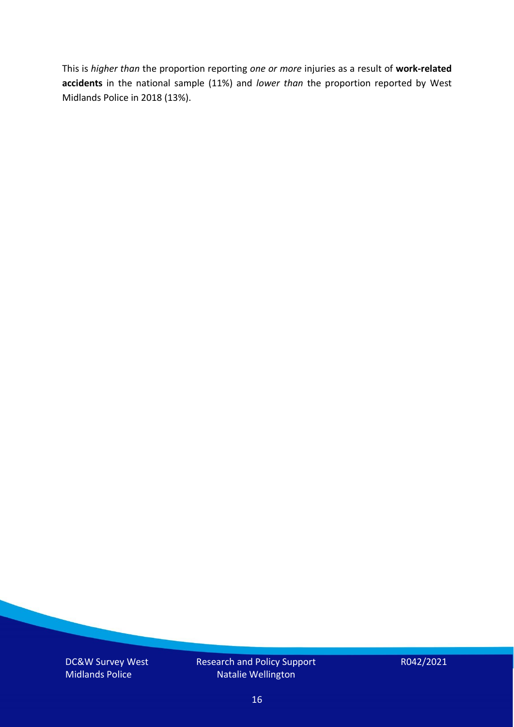This is *higher than* the proportion reporting *one or more* injuries as a result of **work-related accidents** in the national sample (11%) and *lower than* the proportion reported by West Midlands Police in 2018 (13%).

DC&W Survey West Midlands Police

Research and Policy Support Natalie Wellington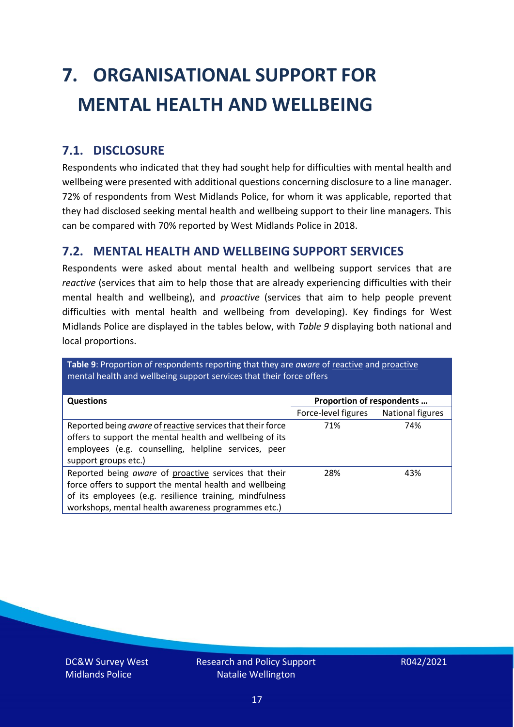# <span id="page-16-0"></span>**7. ORGANISATIONAL SUPPORT FOR MENTAL HEALTH AND WELLBEING**

### **7.1. DISCLOSURE**

Respondents who indicated that they had sought help for difficulties with mental health and wellbeing were presented with additional questions concerning disclosure to a line manager. 72% of respondents from West Midlands Police, for whom it was applicable, reported that they had disclosed seeking mental health and wellbeing support to their line managers. This can be compared with 70% reported by West Midlands Police in 2018.

#### **7.2. MENTAL HEALTH AND WELLBEING SUPPORT SERVICES**

Respondents were asked about mental health and wellbeing support services that are *reactive* (services that aim to help those that are already experiencing difficulties with their mental health and wellbeing), and *proactive* (services that aim to help people prevent difficulties with mental health and wellbeing from developing). Key findings for West Midlands Police are displayed in the tables below, with *Table 9* displaying both national and local proportions.

**Table 9**: Proportion of respondents reporting that they are *aware* of reactive and proactive mental health and wellbeing support services that their force offers

| <b>Questions</b>                                           | Proportion of respondents |                  |  |
|------------------------------------------------------------|---------------------------|------------------|--|
|                                                            |                           |                  |  |
|                                                            | Force-level figures       | National figures |  |
| Reported being aware of reactive services that their force | 71%                       | 74%              |  |
| offers to support the mental health and wellbeing of its   |                           |                  |  |
| employees (e.g. counselling, helpline services, peer       |                           |                  |  |
|                                                            |                           |                  |  |
| support groups etc.)                                       |                           |                  |  |
| Reported being aware of proactive services that their      | 28%                       | 43%              |  |
| force offers to support the mental health and wellbeing    |                           |                  |  |
| of its employees (e.g. resilience training, mindfulness    |                           |                  |  |
| workshops, mental health awareness programmes etc.)        |                           |                  |  |

DC&W Survey West Midlands Police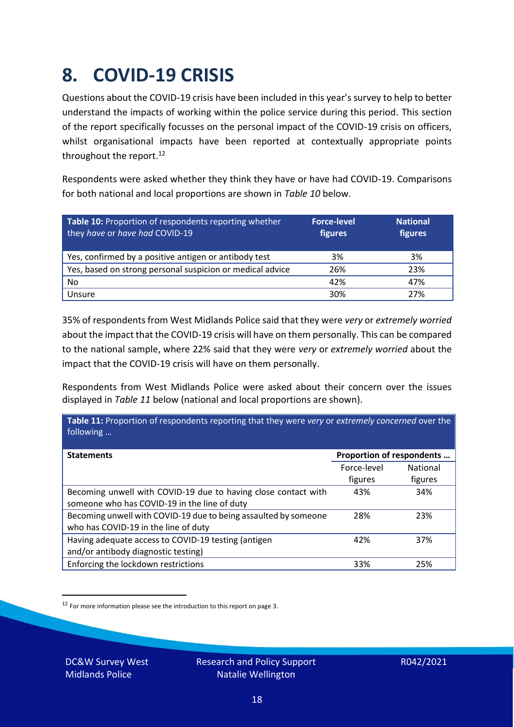### <span id="page-17-0"></span>**8. COVID-19 CRISIS**

Questions about the COVID-19 crisis have been included in this year's survey to help to better understand the impacts of working within the police service during this period. This section of the report specifically focusses on the personal impact of the COVID-19 crisis on officers, whilst organisational impacts have been reported at contextually appropriate points throughout the report.<sup>12</sup>

Respondents were asked whether they think they have or have had COVID-19. Comparisons for both national and local proportions are shown in *Table 10* below.

| Table 10: Proportion of respondents reporting whether<br>they have or have had COVID-19 | <b>Force-level</b><br>figures | <b>National</b><br>figures |
|-----------------------------------------------------------------------------------------|-------------------------------|----------------------------|
| Yes, confirmed by a positive antigen or antibody test                                   | 3%                            | 3%                         |
| Yes, based on strong personal suspicion or medical advice                               | 26%                           | 23%                        |
| No                                                                                      | 42%                           | 47%                        |
| Unsure                                                                                  | 30%                           | 27%                        |

35% of respondents from West Midlands Police said that they were *very* or *extremely worried* about the impact that the COVID-19 crisis will have on them personally. This can be compared to the national sample, where 22% said that they were *very* or *extremely worried* about the impact that the COVID-19 crisis will have on them personally.

Respondents from West Midlands Police were asked about their concern over the issues displayed in *Table 11* below (national and local proportions are shown).

| Table 11: Proportion of respondents reporting that they were very or extremely concerned over the<br>following |                           |                 |
|----------------------------------------------------------------------------------------------------------------|---------------------------|-----------------|
| <b>Statements</b>                                                                                              | Proportion of respondents |                 |
|                                                                                                                | Force-level               | <b>National</b> |
|                                                                                                                | figures                   | figures         |
| Becoming unwell with COVID-19 due to having close contact with                                                 | 43%                       | 34%             |
| someone who has COVID-19 in the line of duty                                                                   |                           |                 |
| Becoming unwell with COVID-19 due to being assaulted by someone                                                | 28%                       | 23%             |
| who has COVID-19 in the line of duty                                                                           |                           |                 |
| Having adequate access to COVID-19 testing (antigen                                                            | 42%                       | 37%             |
| and/or antibody diagnostic testing)                                                                            |                           |                 |
| Enforcing the lockdown restrictions                                                                            | 33%                       | 25%             |

<sup>12</sup> For more information please see the introduction to this report on page 3.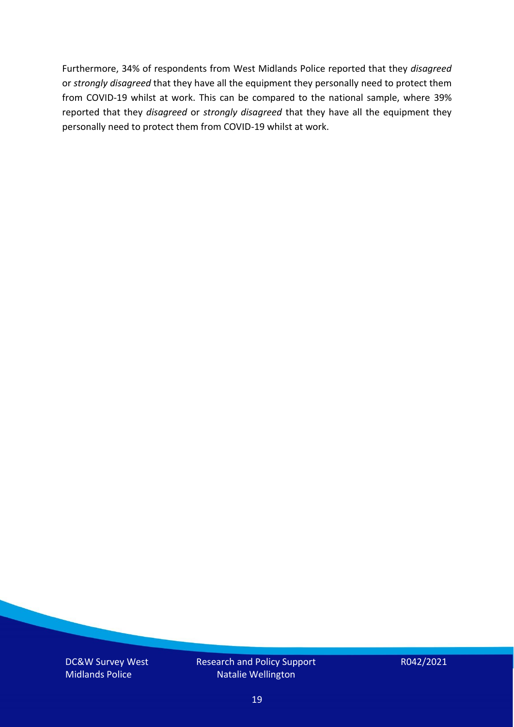Furthermore, 34% of respondents from West Midlands Police reported that they *disagreed*  or *strongly disagreed* that they have all the equipment they personally need to protect them from COVID-19 whilst at work. This can be compared to the national sample, where 39% reported that they *disagreed* or *strongly disagreed* that they have all the equipment they personally need to protect them from COVID-19 whilst at work.

DC&W Survey West Midlands Police

Research and Policy Support Natalie Wellington